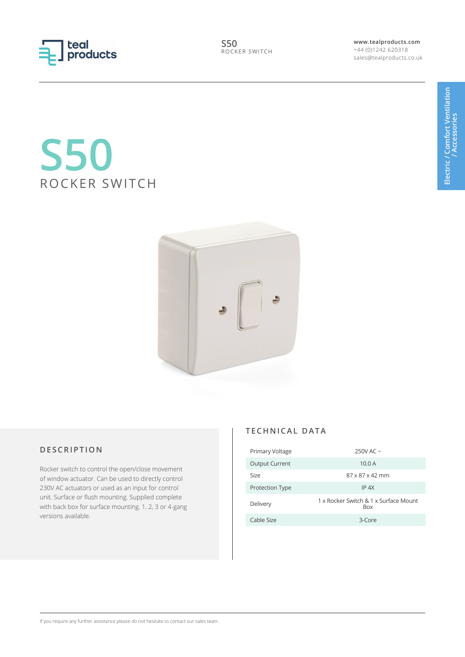

**www.tealproducts.com** +44 (0)1242 620318 sales@tealproducts.co.uk

# **S50** ROCKER SWITCH



# **DESCRIPTION**

Rocker switch to control the open/close movement of window actuator. Can be used to directly control 230V AC actuators or used as an input for control unit. Surface or flush mounting. Supplied complete with back box for surface mounting. 1, 2, 3 or 4-gang versions available.

#### **TECHNICAL DATA**

| Primary Voltage       | 250V AC $\sim$                                      |
|-----------------------|-----------------------------------------------------|
| <b>Output Current</b> | 10.0 A                                              |
| Size                  | $87 \times 87 \times 42$ mm                         |
| Protection Type       | $IP$ 4X                                             |
| Delivery              | 1 x Rocker Switch & 1 x Surface Mount<br><b>Box</b> |
| Cable Size            | $3$ -Core                                           |

If you require any further assistance please do not hesitate to contact our sales team.